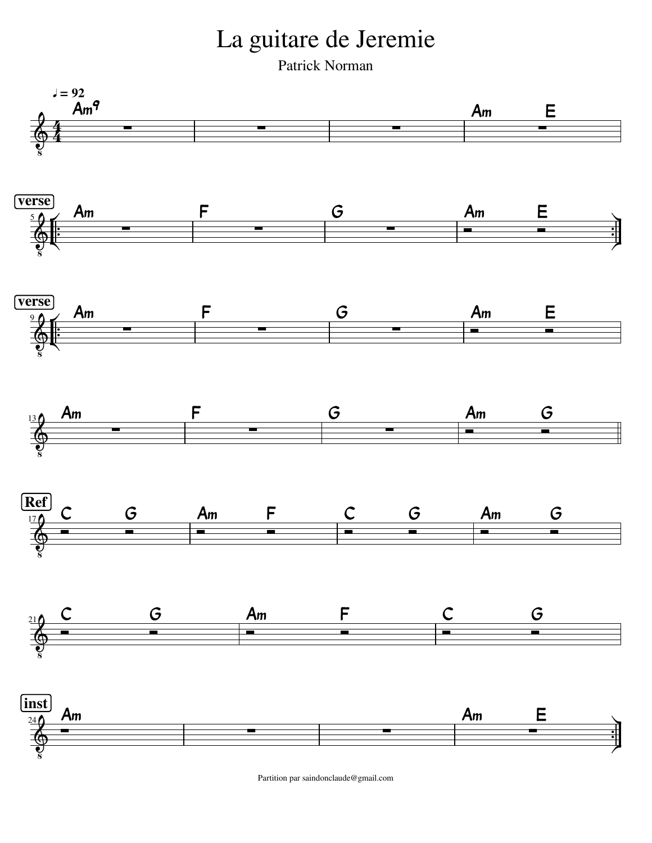La guitare de Jeremie

Patrick Norman



Partition par saindonclaude@gmail.com